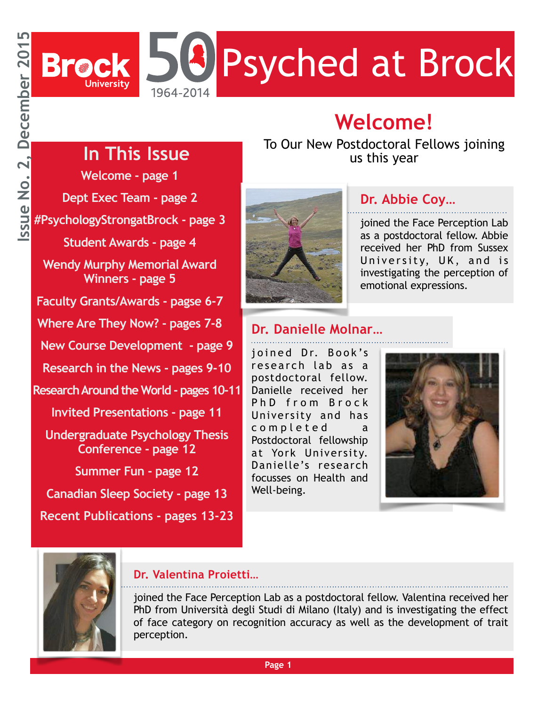

### **Welcome!**

### **In This Issue**

**Welcome - page 1 Dept Exec Team - page 2 #PsychologyStrongatBrock - page 3 Student Awards - page 4 Wendy Murphy Memorial Award Winners - page 5 Faculty Grants/Awards - pagse 6-7 Where Are They Now? - pages 7-8 New Course Development - page 9 Research in the News - pages 9-10 Research Around the World - pages 10-11 Invited Presentations - page 11 Undergraduate Psychology Thesis Conference - page 12 Summer Fun - page 12 Canadian Sleep Society - page 13 Recent Publications - pages 13-23**

To Our New Postdoctoral Fellows joining us this year



### **Dr. Abbie Coy…**

joined the Face Perception Lab as a postdoctoral fellow. Abbie received her PhD from Sussex University, UK, and is investigating the perception of emotional expressions.

### **Dr. Danielle Molnar…**

joined Dr. Book's research lab as a postdoctoral fellow. Danielle received her PhD from Brock University and has completed a Postdoctoral fellowship at York University. Danielle's research focusses on Health and Well-being.





### **Dr. Valentina Proietti…**

joined the Face Perception Lab as a postdoctoral fellow. Valentina received her PhD from Università degli Studi di Milano (Italy) and is investigating the effect of face category on recognition accuracy as well as the development of trait perception.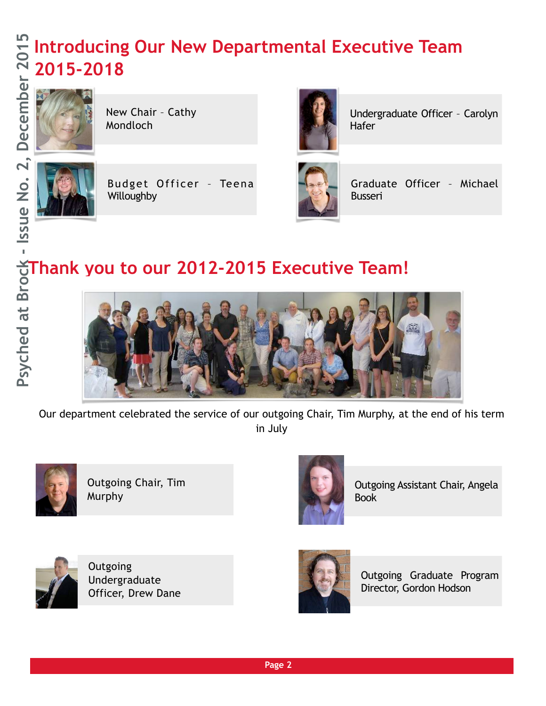### **Introducing Our New Departmental Executive Team 2015-2018 Psyched at Brock - Issue No. 2, December 2015**



New Chair – Cathy Mondloch



Budget Officer – Teena Willoughby **Europe Communist Communist Communist Communist Communist Communist Communist Communist Communist Communist Communist Communist Communist Communist Communist Communist Communist Communist Communist Communist Com** 



Undergraduate Officer – Carolyn Hafer



Graduate Officer – Michael

### **Thank you to our 2012-2015 Executive Team!**



Our department celebrated the service of our outgoing Chair, Tim Murphy, at the end of his term in July



Outgoing Chair, Tim Murphy



Outgoing Assistant Chair, Angela Book



**Outgoing** Undergraduate Officer, Drew Dane



Outgoing Graduate Program Director, Gordon Hodson

**Page 2**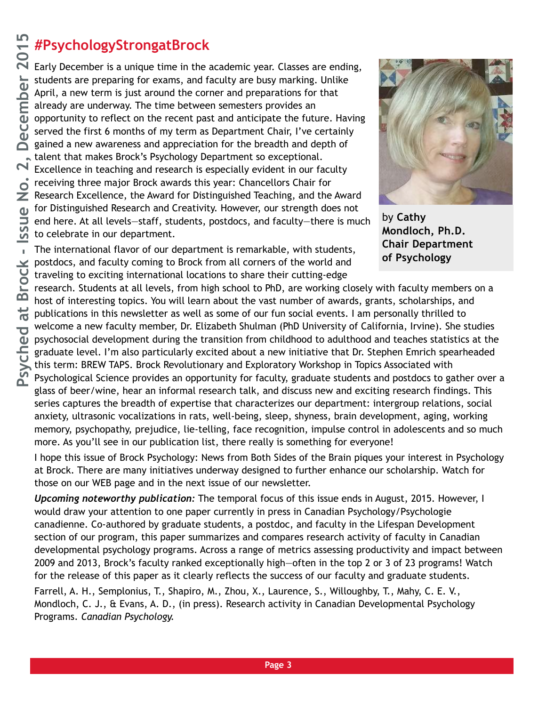### **#PsychologyStrongatBrock**

Early December is a unique time in the academic year. Classes are ending, students are preparing for exams, and faculty are busy marking. Unlike April, a new term is just around the corner and preparations for that already are underway. The time between semesters provides an opportunity to reflect on the recent past and anticipate the future. Having served the first 6 months of my term as Department Chair, I've certainly gained a new awareness and appreciation for the breadth and depth of talent that makes Brock's Psychology Department so exceptional. Excellence in teaching and research is especially evident in our faculty receiving three major Brock awards this year: Chancellors Chair for Research Excellence, the Award for Distinguished Teaching, and the Award for Distinguished Research and Creativity. However, our strength does not end here. At all levels—staff, students, postdocs, and faculty—there is much to celebrate in our department.

The international flavor of our department is remarkable, with students, postdocs, and faculty coming to Brock from all corners of the world and traveling to exciting international locations to share their cutting-edge



by **Cathy Mondloch, Ph.D. Chair Department of Psychology**

research. Students at all levels, from high school to PhD, are working closely with faculty members on a host of interesting topics. You will learn about the vast number of awards, grants, scholarships, and publications in this newsletter as well as some of our fun social events. I am personally thrilled to welcome a new faculty member, Dr. Elizabeth Shulman (PhD University of California, Irvine). She studies psychosocial development during the transition from childhood to adulthood and teaches statistics at the graduate level. I'm also particularly excited about a new initiative that Dr. Stephen Emrich spearheaded this term: BREW TAPS. Brock Revolutionary and Exploratory Workshop in Topics Associated with Psychological Science provides an opportunity for faculty, graduate students and postdocs to gather over a glass of beer/wine, hear an informal research talk, and discuss new and exciting research findings. This series captures the breadth of expertise that characterizes our department: intergroup relations, social anxiety, ultrasonic vocalizations in rats, well-being, sleep, shyness, brain development, aging, working memory, psychopathy, prejudice, lie-telling, face recognition, impulse control in adolescents and so much more. As you'll see in our publication list, there really is something for everyone!

I hope this issue of Brock Psychology: News from Both Sides of the Brain piques your interest in Psychology at Brock. There are many initiatives underway designed to further enhance our scholarship. Watch for those on our WEB page and in the next issue of our newsletter.

*Upcoming noteworthy publication:* The temporal focus of this issue ends in August, 2015. However, I would draw your attention to one paper currently in press in Canadian Psychology/Psychologie canadienne. Co-authored by graduate students, a postdoc, and faculty in the Lifespan Development section of our program, this paper summarizes and compares research activity of faculty in Canadian developmental psychology programs. Across a range of metrics assessing productivity and impact between 2009 and 2013, Brock's faculty ranked exceptionally high—often in the top 2 or 3 of 23 programs! Watch for the release of this paper as it clearly reflects the success of our faculty and graduate students.

Farrell, A. H., Semplonius, T., Shapiro, M., Zhou, X., Laurence, S., Willoughby, T., Mahy, C. E. V., Mondloch, C. J., & Evans, A. D., (in press). Research activity in Canadian Developmental Psychology Programs. *Canadian Psychology.*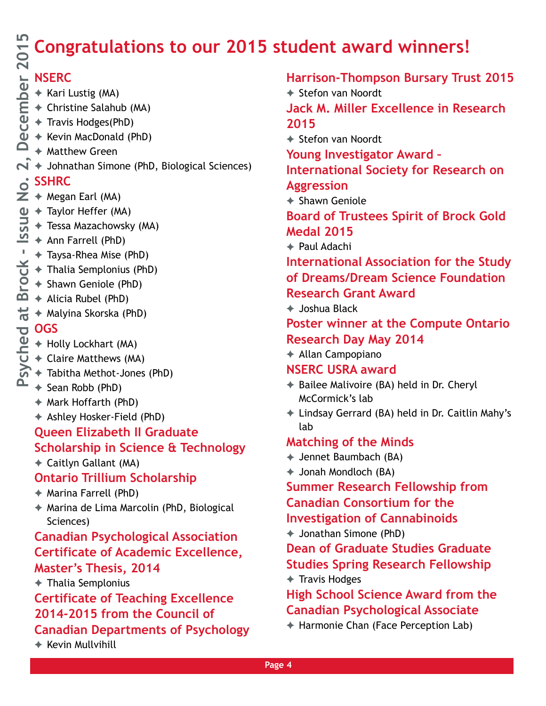## **Congratulations to our 2015 student award winners! Psyched at Brock - Issue No. 2, December 2015**

### **NSERC**

- ✦ Kari Lustig (MA)
- ✦ Christine Salahub (MA)
- ✦ Travis Hodges(PhD)
- ✦ Kevin MacDonald (PhD)
- $\Box$   $\rightarrow$  Matthew Green
- $\mathbf{N}$   $\mathbf{\rightarrow}$  Johnathan Simone (PhD, Biological Sciences)

### $\dot{\mathsf{o}}$ <sup>SSHRC</sup>

- $\overline{Z}$   $\rightarrow$  Megan Earl (MA)
- $\Phi \rightarrow$  Taylor Heffer (MA)
	- ✦ Tessa Mazachowsky (MA)
	- ✦ Ann Farrell (PhD)
- $\frac{1}{2}$   $\leftrightarrow$  Taysa-Rhea Mise (PhD)
	- ✦ Thalia Semplonius (PhD)
	- ✦ Shawn Geniole (PhD)
	- ✦ Alicia Rubel (PhD)
- $\frac{44}{10}$   $\leftrightarrow$  Malyina Skorska (PhD)

### **OGS**

- ✦ Holly Lockhart (MA)
- ✦ Claire Matthews (MA)
- ✦ Tabitha Methot-Jones (PhD)
- $\triangle$   $\leftrightarrow$  Sean Robb (PhD)
	- ✦ Mark Hoffarth (PhD)
	- ✦ Ashley Hosker-Field (PhD)

### **Queen Elizabeth II Graduate Scholarship in Science & Technology**

✦ Caitlyn Gallant (MA)

### **Ontario Trillium Scholarship**

- ✦ Marina Farrell (PhD)
- ✦ Marina de Lima Marcolin (PhD, Biological Sciences)

### **Canadian Psychological Association Certificate of Academic Excellence, Master's Thesis, 2014**

✦ Thalia Semplonius

### **Certificate of Teaching Excellence 2014-2015 from the Council of Canadian Departments of Psychology**

✦ Kevin Mullvihill

**Harrison-Thompson Bursary Trust 2015**

✦ Stefon van Noordt **Jack M. Miller Excellence in Research 2015**

✦ Stefon van Noordt

**Young Investigator Award –** 

**International Society for Research on Aggression**

✦ Shawn Geniole

**Board of Trustees Spirit of Brock Gold Medal 2015**

✦ Paul Adachi

**International Association for the Study of Dreams/Dream Science Foundation Research Grant Award** 

✦ Joshua Black

### **Poster winner at the Compute Ontario Research Day May 2014**

✦ Allan Campopiano

### **NSERC USRA award**

- ✦ Bailee Malivoire (BA) held in Dr. Cheryl McCormick's lab
- ✦ Lindsay Gerrard (BA) held in Dr. Caitlin Mahy's lab

### **Matching of the Minds**

- ✦ Jennet Baumbach (BA)
- ✦ Jonah Mondloch (BA)

**Summer Research Fellowship from Canadian Consortium for the** 

**Investigation of Cannabinoids**

✦ Jonathan Simone (PhD)

**Dean of Graduate Studies Graduate Studies Spring Research Fellowship** ✦ Travis Hodges

### **High School Science Award from the Canadian Psychological Associate**

✦ Harmonie Chan (Face Perception Lab)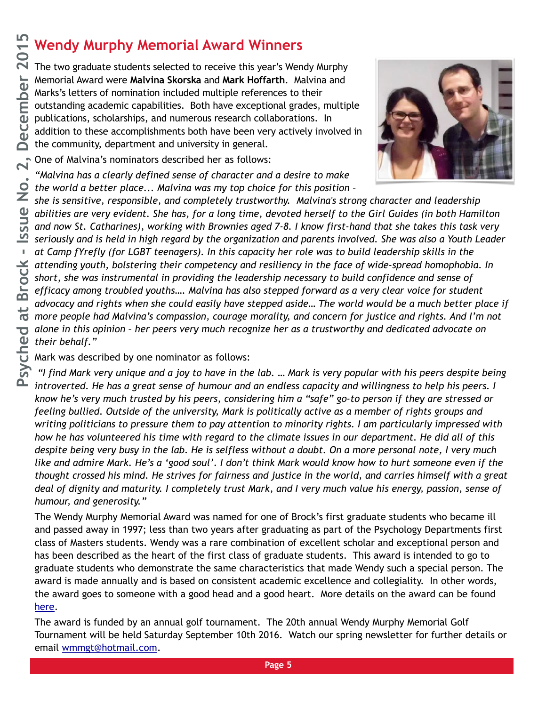### **Wendy Murphy Memorial Award Winners**

The two graduate students selected to receive this year's Wendy Murphy Memorial Award were **Malvina Skorska** and **Mark Hoffarth**. Malvina and Marks's letters of nomination included multiple references to their outstanding academic capabilities. Both have exceptional grades, multiple publications, scholarships, and numerous research collaborations. In addition to these accomplishments both have been very actively involved in the community, department and university in general.



One of Malvina's nominators described her as follows:

*"Malvina has a clearly defined sense of character and a desire to make the world a better place... Malvina was my top choice for this position –* 

*she is sensitive, responsible, and completely trustworthy. Malvina's strong character and leadership abilities are very evident. She has, for a long time, devoted herself to the Girl Guides (in both Hamilton and now St. Catharines), working with Brownies aged 7-8. I know first-hand that she takes this task very seriously and is held in high regard by the organization and parents involved. She was also a Youth Leader at Camp fYrefly (for LGBT teenagers). In this capacity her role was to build leadership skills in the attending youth, bolstering their competency and resiliency in the face of wide-spread homophobia. In short, she was instrumental in providing the leadership necessary to build confidence and sense of efficacy among troubled youths…. Malvina has also stepped forward as a very clear voice for student advocacy and rights when she could easily have stepped aside… The world would be a much better place if more people had Malvina's compassion, courage morality, and concern for justice and rights. And I'm not alone in this opinion – her peers very much recognize her as a trustworthy and dedicated advocate on their behalf."* 

Mark was described by one nominator as follows:

 *"I find Mark very unique and a joy to have in the lab. … Mark is very popular with his peers despite being introverted. He has a great sense of humour and an endless capacity and willingness to help his peers. I know he's very much trusted by his peers, considering him a "safe" go-to person if they are stressed or feeling bullied. Outside of the university, Mark is politically active as a member of rights groups and writing politicians to pressure them to pay attention to minority rights. I am particularly impressed with how he has volunteered his time with regard to the climate issues in our department. He did all of this despite being very busy in the lab. He is selfless without a doubt. On a more personal note, I very much like and admire Mark. He's a 'good soul'. I don't think Mark would know how to hurt someone even if the thought crossed his mind. He strives for fairness and justice in the world, and carries himself with a great deal of dignity and maturity. I completely trust Mark, and I very much value his energy, passion, sense of humour, and generosity."* 

The Wendy Murphy Memorial Award was named for one of Brock's first graduate students who became ill and passed away in 1997; less than two years after graduating as part of the Psychology Departments first class of Masters students. Wendy was a rare combination of excellent scholar and exceptional person and has been described as the heart of the first class of graduate students. This award is intended to go to graduate students who demonstrate the same characteristics that made Wendy such a special person. The award is made annually and is based on consistent academic excellence and collegiality. In other words, the award goes to someone with a good head and a good heart. More details on the award can be found [here](http://www.brocku.ca/social-sciences/departments-and-centres/psychology/graduate-programs/current-students/wendy-murphy).

The award is funded by an annual golf tournament. The 20th annual Wendy Murphy Memorial Golf Tournament will be held Saturday September 10th 2016. Watch our spring newsletter for further details or email [wmmgt@hotmail.com](mailto:wmmgt@hotmail.com).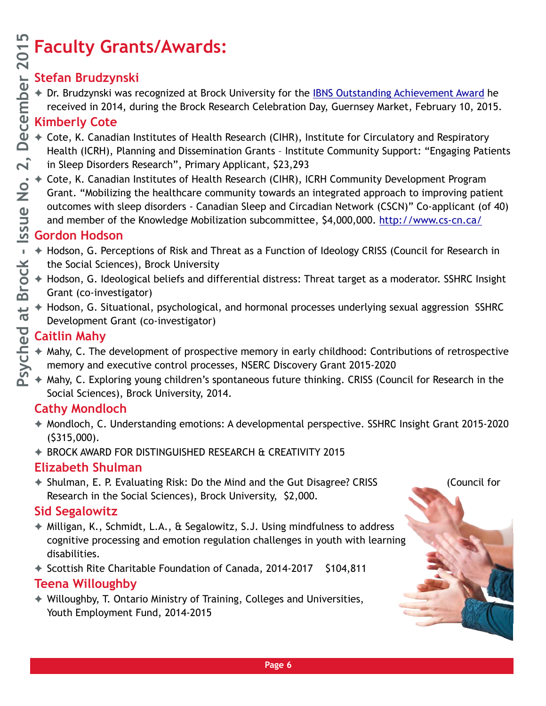# **Psyched at Brock - Issue No. 2, December 2015**

### **Faculty Grants/Awards:**

### **Stefan Brudzynski**

◆ Dr. Brudzynski was recognized at Brock University for the [IBNS Outstanding Achievement Award](http://www.brocku.ca/brock-news/2014/07/brock-psychologist-wins-international-behavioral-neuroscience-award/) he received in 2014, during the Brock Research Celebration Day, Guernsey Market, February 10, 2015.

### **Kimberly Cote**

- ✦ Cote, K. Canadian Institutes of Health Research (CIHR), Institute for Circulatory and Respiratory Health (ICRH), Planning and Dissemination Grants – Institute Community Support: "Engaging Patients in Sleep Disorders Research", Primary Applicant, \$23,293
- ✦ Cote, K. Canadian Institutes of Health Research (CIHR), ICRH Community Development Program Grant. "Mobilizing the healthcare community towards an integrated approach to improving patient outcomes with sleep disorders - Canadian Sleep and Circadian Network (CSCN)" Co-applicant (of 40) and member of the Knowledge Mobilization subcommittee, \$4,000,000.<http://www.cs-cn.ca/>

### **Gordon Hodson**

- ✦ Hodson, G. Perceptions of Risk and Threat as a Function of Ideology CRISS (Council for Research in the Social Sciences), Brock University
- ✦ Hodson, G. Ideological beliefs and differential distress: Threat target as a moderator. SSHRC Insight Grant (co-investigator)
- ✦ Hodson, G. Situational, psychological, and hormonal processes underlying sexual aggression SSHRC Development Grant (co-investigator)

### **Caitlin Mahy**

- ✦ Mahy, C. The development of prospective memory in early childhood: Contributions of retrospective memory and executive control processes, NSERC Discovery Grant 2015-2020
- ✦ Mahy, C. Exploring young children's spontaneous future thinking. CRISS (Council for Research in the Social Sciences), Brock University, 2014.

### **Cathy Mondloch**

- ✦ Mondloch, C. Understanding emotions: A developmental perspective. SSHRC Insight Grant 2015-2020 (\$315,000).
- ✦ BROCK AWARD FOR DISTINGUISHED RESEARCH & CREATIVITY 2015

### **Elizabeth Shulman**

✦ Shulman, E. P. Evaluating Risk: Do the Mind and the Gut Disagree? CRISS (Council for Research in the Social Sciences), Brock University, \$2,000.

### **Sid Segalowitz**

- ✦ Milligan, K., Schmidt, L.A., & Segalowitz, S.J. Using mindfulness to address cognitive processing and emotion regulation challenges in youth with learning disabilities.
- ✦ Scottish Rite Charitable Foundation of Canada, 2014-2017 \$104,811

### **Teena Willoughby**

✦ Willoughby, T. Ontario Ministry of Training, Colleges and Universities, Youth Employment Fund, 2014-2015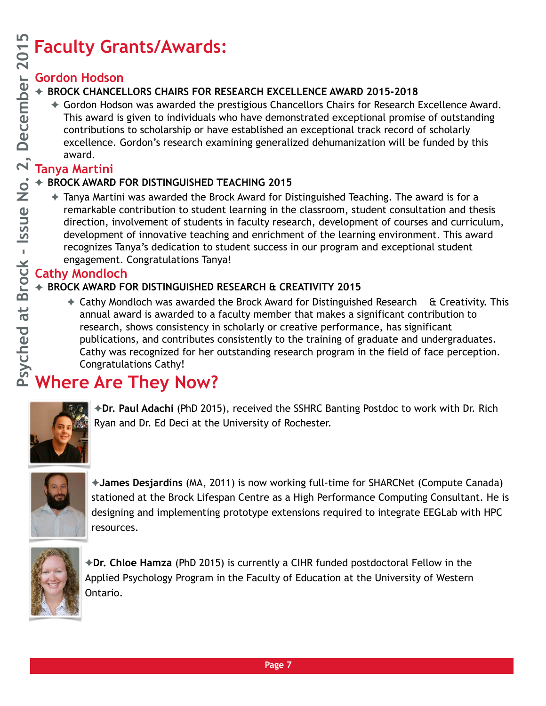### **Faculty Grants/Awards:**

### **Gordon Hodson**

### ✦ **BROCK CHANCELLORS CHAIRS FOR RESEARCH EXCELLENCE AWARD 2015-2018**

✦ Gordon Hodson was awarded the prestigious Chancellors Chairs for Research Excellence Award. This award is given to individuals who have demonstrated exceptional promise of outstanding contributions to scholarship or have established an exceptional track record of scholarly excellence. Gordon's research examining generalized dehumanization will be funded by this award.

### **Tanya Martini**

### ✦ **BROCK AWARD FOR DISTINGUISHED TEACHING 2015**

✦ Tanya Martini was awarded the Brock Award for Distinguished Teaching. The award is for a remarkable contribution to student learning in the classroom, student consultation and thesis direction, involvement of students in faculty research, development of courses and curriculum, development of innovative teaching and enrichment of the learning environment. This award recognizes Tanya's dedication to student success in our program and exceptional student engagement. Congratulations Tanya!

### **Cathy Mondloch**

### ✦ **BROCK AWARD FOR DISTINGUISHED RESEARCH & CREATIVITY 2015**

 $\triangle$  Cathy Mondloch was awarded the Brock Award for Distinguished Research & Creativity. This annual award is awarded to a faculty member that makes a significant contribution to research, shows consistency in scholarly or creative performance, has significant publications, and contributes consistently to the training of graduate and undergraduates. Cathy was recognized for her outstanding research program in the field of face perception. Congratulations Cathy!

### **Where Are They Now?**



✦**Dr. Paul Adachi** (PhD 2015), received the SSHRC Banting Postdoc to work with Dr. Rich Ryan and Dr. Ed Deci at the University of Rochester.



✦**James Desjardins** (MA, 2011) is now working full-time for SHARCNet (Compute Canada) stationed at the Brock Lifespan Centre as a High Performance Computing Consultant. He is designing and implementing prototype extensions required to integrate EEGLab with HPC resources.



✦**Dr. Chloe Hamza** (PhD 2015) is currently a CIHR funded postdoctoral Fellow in the Applied Psychology Program in the Faculty of Education at the University of Western Ontario.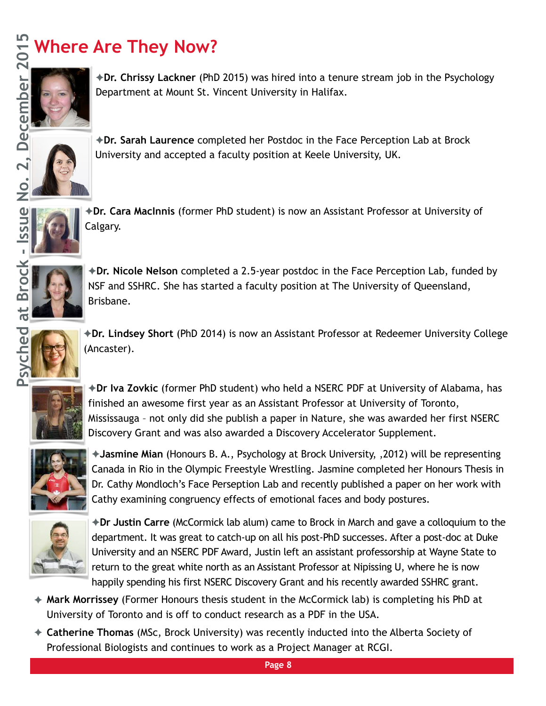### **Where Are They Now?**



✦**Dr. Chrissy Lackner** (PhD 2015) was hired into a tenure stream job in the Psychology Department at Mount St. Vincent University in Halifax.



✦**Dr. Sarah Laurence** completed her Postdoc in the Face Perception Lab at Brock University and accepted a faculty position at Keele University, UK.



✦**Dr. Cara MacInnis** (former PhD student) is now an Assistant Professor at University of Calgary.



✦**Dr. Nicole Nelson** completed a 2.5-year postdoc in the Face Perception Lab, funded by NSF and SSHRC. She has started a faculty position at The University of Queensland, Brisbane.



✦**Dr. Lindsey Short** (PhD 2014) is now an Assistant Professor at Redeemer University College (Ancaster).



✦**Dr Iva Zovkic** (former PhD student) who held a NSERC PDF at University of Alabama, has finished an awesome first year as an Assistant Professor at University of Toronto, Mississauga – not only did she publish a paper in Nature, she was awarded her first NSERC Discovery Grant and was also awarded a Discovery Accelerator Supplement.



✦**Jasmine Mian** (Honours B. A., Psychology at Brock University, ,2012) will be representing Canada in Rio in the Olympic Freestyle Wrestling. Jasmine completed her Honours Thesis in Dr. Cathy Mondloch's Face Perseption Lab and recently published a paper on her work with Cathy examining congruency effects of emotional faces and body postures.



✦**Dr Justin Carre** (McCormick lab alum) came to Brock in March and gave a colloquium to the department. It was great to catch-up on all his post-PhD successes. After a post-doc at Duke University and an NSERC PDF Award, Justin left an assistant professorship at Wayne State to return to the great white north as an Assistant Professor at Nipissing U, where he is now happily spending his first NSERC Discovery Grant and his recently awarded SSHRC grant.

- ✦ **Mark Morrissey** (Former Honours thesis student in the McCormick lab) is completing his PhD at University of Toronto and is off to conduct research as a PDF in the USA.
- ✦ **Catherine Thomas** (MSc, Brock University) was recently inducted into the Alberta Society of Professional Biologists and continues to work as a Project Manager at RCGI.

**Page 8**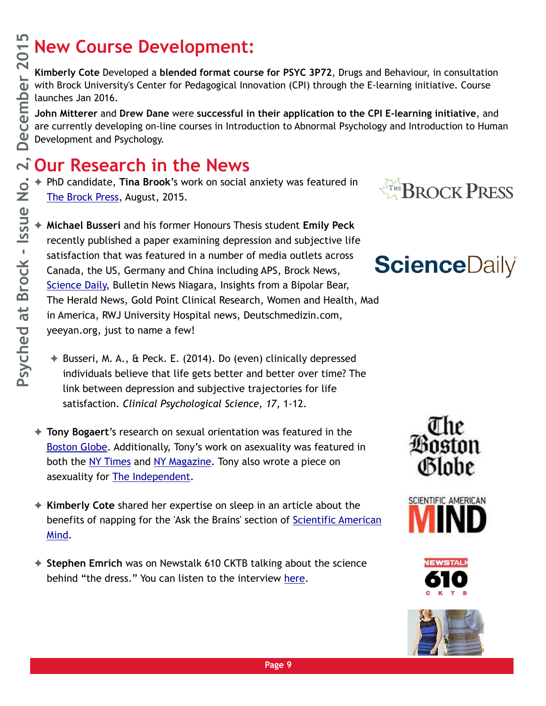### **New Course Development:**

**Kimberly Cote** Developed a **blended format course for PSYC 3P72**, Drugs and Behaviour, in consultation with Brock University's Center for Pedagogical Innovation (CPI) through the E-learning initiative. Course launches Jan 2016.

**John Mitterer** and **Drew Dane** were **successful in their application to the CPI E-learning initiative**, and are currently developing on-line courses in Introduction to Abnormal Psychology and Introduction to Human Development and Psychology.

### **Our Research in the News**

✦ PhD candidate, **Tina Brook**'s work on social anxiety was featured in [The Brock Press](http://www.apple.com), August, 2015.

- ✦ **Michael Busseri** and his former Honours Thesis student **Emily Peck**  recently published a paper examining depression and subjective life satisfaction that was featured in a number of media outlets across Canada, the US, Germany and China including APS, Brock News, [Science Daily](http://www.sciencedaily.com/releases/2014/10/141021085605.htm), Bulletin News Niagara, Insights from a Bipolar Bear, The Herald News, Gold Point Clinical Research, Women and Health, Mad in America, RWJ University Hospital news, Deutschmedizin.com, yeeyan.org, just to name a few!
	- ✦ Busseri, M. A., & Peck. E. (2014). Do (even) clinically depressed individuals believe that life gets better and better over time? The link between depression and subjective trajectories for life satisfaction. *Clinical Psychological Science, 17,* 1-12.
- ✦ **Tony Bogaert**'s research on sexual orientation was featured in the [Boston Globe](https://www.bostonglobe.com/magazine/2015/08/22/what-makes-people-gay-update/8Mos2MXHvX5JsxP7AzW9RJ/story.html). Additionally, Tony's work on asexuality was featured in both the [NY Times](http://www.nytimes.com/2015/07/05/fashion/asexual-and-happy.html?_r=0) and [NY Magazine.](http://nymag.com/scienceofus/2015/08/5-ways-to-better-understand-asexuality.html) Tony also wrote a piece on asexuality for [The Independent](http://www.independent.co.uk/life-style/love-sex/asexuality-when-life-isnt-all-about-sex-10371135.html).
- ✦ **Kimberly Cote** shared her expertise on sleep in an article about the [benefits of napping for the 'Ask the Brains' section of Scientific American](http://www.scientificamerican.com/article/can-napping-make-us-smarter/)  Mind.
- ✦ **Stephen Emrich** was on Newstalk 610 CKTB talking about the science behind "the dress." You can listen to the interview [here](https://soundcloud.com/larryfedorukshow/the-dress-what-color-brock-psychologist).











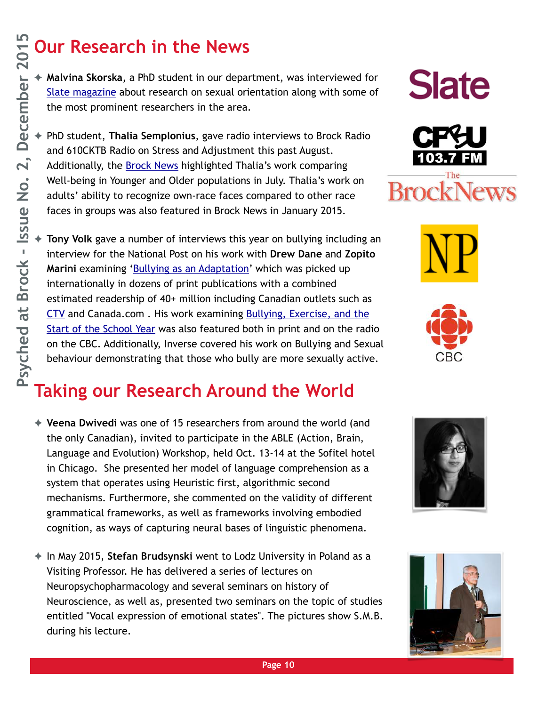### **Our Research in the News**

✦ **Malvina Skorska**, a PhD student in our department, was interviewed for [Slate magazine](http://www.slate.com/blogs/outward/2015/08/03/sexual_orientation_in_women_why_so_little_scientific_research.html) about research on sexual orientation along with some of the most prominent researchers in the area.

✦ PhD student, **Thalia Semplonius**, gave radio interviews to Brock Radio and 610CKTB Radio on Stress and Adjustment this past August. Additionally, the **Brock News** highlighted Thalia's work comparing Well-being in Younger and Older populations in July. Thalia's work on adults' ability to recognize own-race faces compared to other race faces in groups was also featured in Brock News in January 2015.

Tony Volk gave a number of interviews this year on bullying including an interview for the National Post on his work with **Drew Dane** and **Zopito Marini** examining ['Bullying as an Adaptation](http://news.nationalpost.com/health/provocative-new-study-finds-bullies-have-highest-self-esteem-social-status-lowest-rates-of-depression)' which was picked up internationally in dozens of print publications with a combined estimated readership of 40+ million including Canadian outlets such as [CTV](https://www.facebook.com/CTVNewsChannel/videos/vb.231176056943733/938103252917673/?type=2&theater) and Canada.com . His work examining Bullying, Exercise, and the [Start of the School Year was also featured both in print and on the radi](http://www.cbc.ca/news/canada/saskatoon/exercise-could-help-bullied-children-1.3246983)o on the CBC. Additionally, Inverse covered his work on Bullying and Sexual behaviour demonstrating that those who bully are more sexually active.

### **Taking our Research Around the World**

- ✦ **Veena Dwivedi** was one of 15 researchers from around the world (and the only Canadian), invited to participate in the ABLE (Action, Brain, Language and Evolution) Workshop, held Oct. 13-14 at the Sofitel hotel in Chicago. She presented her model of language comprehension as a system that operates using Heuristic first, algorithmic second mechanisms. Furthermore, she commented on the validity of different grammatical frameworks, as well as frameworks involving embodied cognition, as ways of capturing neural bases of linguistic phenomena.
- ✦ In May 2015, **Stefan Brudsynski** went to Lodz University in Poland as a Visiting Professor. He has delivered a series of lectures on Neuropsychopharmacology and several seminars on history of Neuroscience, as well as, presented two seminars on the topic of studies entitled "Vocal expression of emotional states". The pictures show S.M.B. during his lecture.











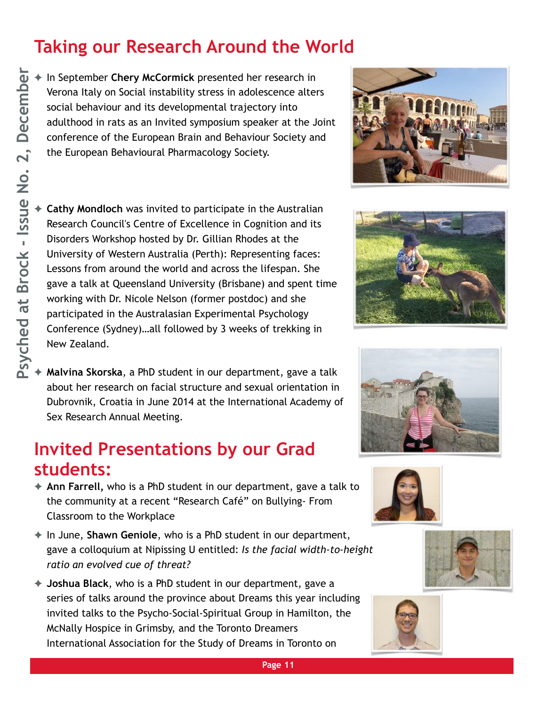### **Taking our Research Around the World**

✦ In September **Chery McCormick** presented her research in Verona Italy on Social instability stress in adolescence alters social behaviour and its developmental trajectory into adulthood in rats as an Invited symposium speaker at the Joint conference of the European Brain and Behaviour Society and the European Behavioural Pharmacology Society.



✦ **Malvina Skorska**, a PhD student in our department, gave a talk about her research on facial structure and sexual orientation in Dubrovnik, Croatia in June 2014 at the International Academy of Sex Research Annual Meeting.

### **Invited Presentations by our Grad students:**

- ✦ **Ann Farrell,** who is a PhD student in our department, gave a talk to the community at a recent "Research Café" on Bullying- From Classroom to the Workplace
- ✦ In June, **Shawn Geniole**, who is a PhD student in our department, gave a colloquium at Nipissing U entitled: *Is the facial width-to-height ratio an evolved cue of threat?*
- ✦ **Joshua Black**, who is a PhD student in our department, gave a series of talks around the province about Dreams this year including invited talks to the Psycho-Social-Spiritual Group in Hamilton, the McNally Hospice in Grimsby, and the Toronto Dreamers International Association for the Study of Dreams in Toronto on













**Page 11**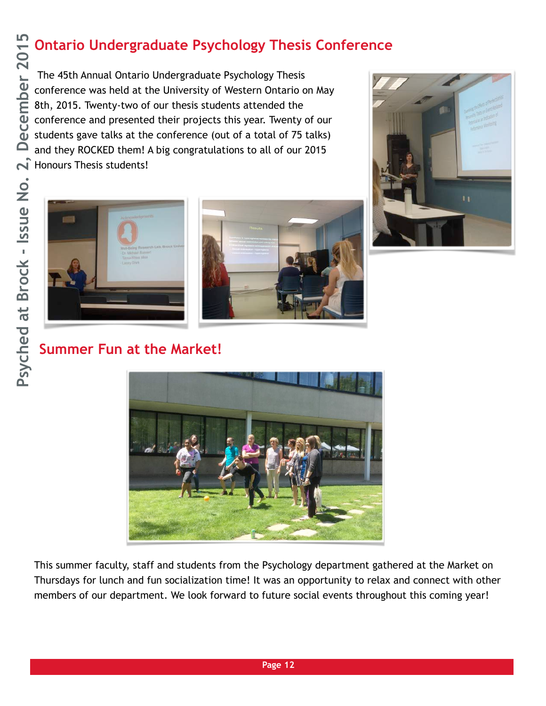### **Ontario Undergraduate Psychology Thesis Conference**

 The 45th Annual Ontario Undergraduate Psychology Thesis conference was held at the University of Western Ontario on May 8th, 2015. Twenty-two of our thesis students attended the conference and presented their projects this year. Twenty of our students gave talks at the conference (out of a total of 75 talks) and they ROCKED them! A big congratulations to all of our 2015 A Honours Thesis students!







**Summer Fun at the Market!**



This summer faculty, staff and students from the Psychology department gathered at the Market on Thursdays for lunch and fun socialization time! It was an opportunity to relax and connect with other members of our department. We look forward to future social events throughout this coming year!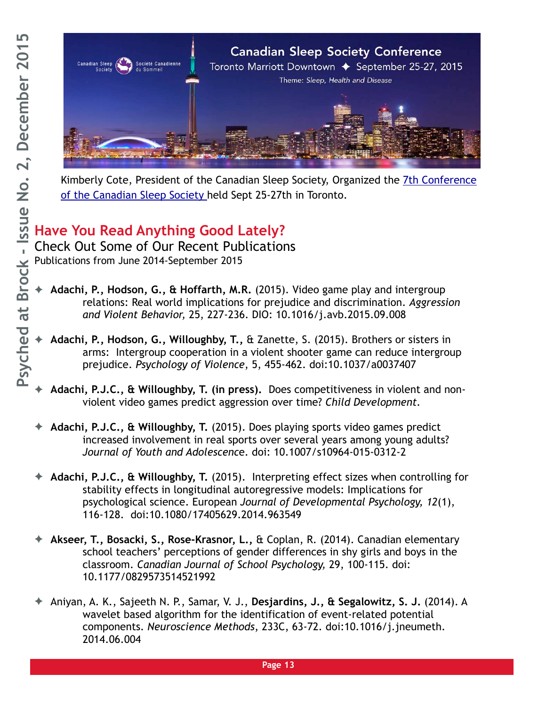

Kimberly Cote, President of the Canadian Sleep Society, Organized the 7th Conference of the Canadian Sleep Society held Sept 25-27th in Toronto.

### **Have You Read Anything Good Lately?**

Check Out Some of Our Recent Publications Publications from June 2014-September 2015

- ✦ **Adachi, P., Hodson, G., & Hoffarth, M.R.** (2015). Video game play and intergroup relations: Real world implications for prejudice and discrimination. *Aggression and Violent Behavior,* 25, 227-236. DIO: 10.1016/j.avb.2015.09.008
- ✦ **Adachi, P., Hodson, G., Willoughby, T.,** & Zanette, S. (2015). Brothers or sisters in arms: Intergroup cooperation in a violent shooter game can reduce intergroup prejudice. *Psychology of Violence*, 5, 455-462. doi:10.1037/a0037407
- ✦ **Adachi, P.J.C., & Willoughby, T. (in press).** Does competitiveness in violent and nonviolent video games predict aggression over time? *Child Development.*
- ✦ **Adachi, P.J.C., & Willoughby, T.** (2015). Does playing sports video games predict increased involvement in real sports over several years among young adults? *Journal of Youth and Adolescenc*e. doi: 10.1007/s10964-015-0312-2
- ✦ **Adachi, P.J.C., & Willoughby, T.** (2015). Interpreting effect sizes when controlling for stability effects in longitudinal autoregressive models: Implications for psychological science. European *Journal of Developmental Psychology, 12*(1), 116-128. doi:10.1080/17405629.2014.963549
- ✦ **Akseer, T., Bosacki, S., Rose-Krasnor, L.,** & Coplan, R. (2014). Canadian elementary school teachers' perceptions of gender differences in shy girls and boys in the classroom. *Canadian Journal of School Psychology,* 29, 100-115. doi: 10.1177/0829573514521992
- ✦ Aniyan, A. K., Sajeeth N. P., Samar, V. J., **Desjardins, J., & Segalowitz, S. J.** (2014). A wavelet based algorithm for the identification of event-related potential components. *Neuroscience Methods*, 233C, 63-72. doi:10.1016/j.jneumeth. 2014.06.004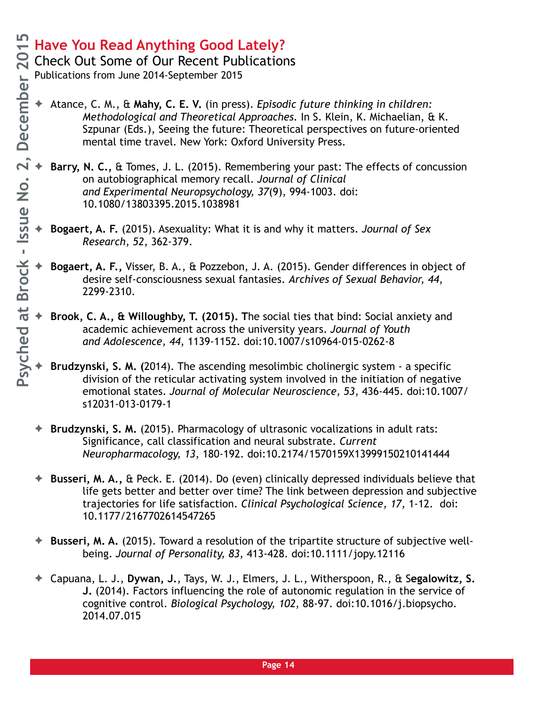Check Out Some of Our Recent Publications

- ✦ Atance, C. M., & **Mahy, C. E. V.** (in press). *Episodic future thinking in children: Methodological and Theoretical Approaches.* In S. Klein, K. Michaelian, & K. Szpunar (Eds.), Seeing the future: Theoretical perspectives on future-oriented mental time travel. New York: Oxford University Press.
- ✦ **Barry, N. C.,** & Tomes, J. L. (2015). Remembering your past: The effects of concussion on autobiographical memory recall. *Journal of Clinical and Experimental Neuropsychology, 37*(9), 994-1003. doi: 10.1080/13803395.2015.1038981
	- ✦ **Bogaert, A. F.** (2015). Asexuality: What it is and why it matters. *Journal of Sex Research, 52*, 362-379.
	- ✦ **Bogaert, A. F.,** Visser, B. A., & Pozzebon, J. A. (2015). Gender differences in object of desire self-consciousness sexual fantasies. *Archives of Sexual Behavior, 44*, 2299-2310.
	- ✦ **Brook, C. A., & Willoughby, T. (2015). T**he social ties that bind: Social anxiety and academic achievement across the university years. *Journal of Youth and Adolescence, 44*, 1139-1152. doi:10.1007/s10964-015-0262-8
	- ✦ **Brudzynski, S. M. (**2014). The ascending mesolimbic cholinergic system a specific division of the reticular activating system involved in the initiation of negative emotional states. *Journal of Molecular Neuroscience, 53*, 436-445. doi:10.1007/ s12031-013-0179-1
- ✦ **Brudzynski, S. M.** (2015). Pharmacology of ultrasonic vocalizations in adult rats: Significance, call classification and neural substrate. *Current Neuropharmacology, 13*, 180-192. doi:10.2174/1570159X13999150210141444
- ✦ **Busseri, M. A.,** & Peck. E. (2014). Do (even) clinically depressed individuals believe that life gets better and better over time? The link between depression and subjective trajectories for life satisfaction. *Clinical Psychological Science, 17*, 1-12. doi: 10.1177/2167702614547265
- ✦ **Busseri, M. A.** (2015). Toward a resolution of the tripartite structure of subjective wellbeing. *Journal of Personality, 83*, 413-428. doi:10.1111/jopy.12116
- ✦ Capuana, L. J., **Dywan, J.**, Tays, W. J., Elmers, J. L., Witherspoon, R., & S**egalowitz, S. J.** (2014). Factors influencing the role of autonomic regulation in the service of cognitive control. *Biological Psychology, 102*, 88-97. doi:10.1016/j.biopsycho. 2014.07.015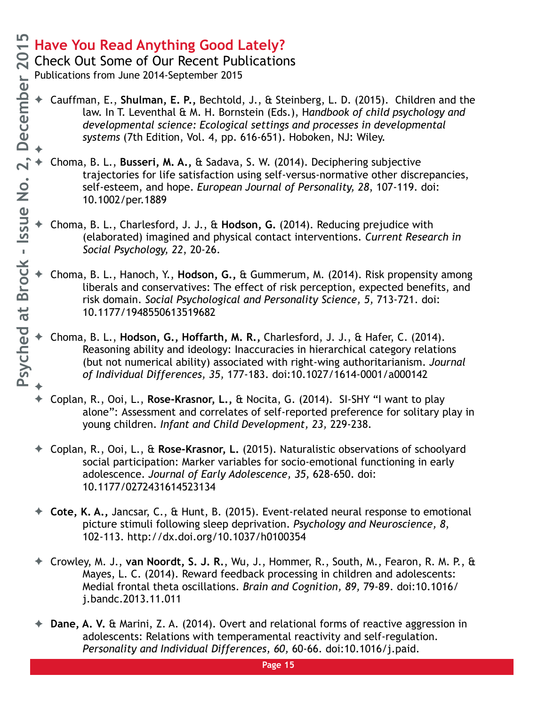✦

### **Have You Read Anything Good Lately?**

Check Out Some of Our Recent Publications

- ✦ Cauffman, E., **Shulman, E. P.,** Bechtold, J., & Steinberg, L. D. (2015). Children and the law. In T. Leventhal & M. H. Bornstein (Eds.), H*andbook of child psychology and developmental science: Ecological settings and processes in developmental systems* (7th Edition, Vol. 4, pp. 616-651). Hoboken, NJ: Wiley.
- ✦ ✦ Choma, B. L., **Busseri, M. A.,** & Sadava, S. W. (2014). Deciphering subjective trajectories for life satisfaction using self-versus-normative other discrepancies, self-esteem, and hope. *European Journal of Personality, 28*, 107-119. doi: 10.1002/per.1889
- ✦ Choma, B. L., Charlesford, J. J., & **Hodson, G.** (2014). Reducing prejudice with (elaborated) imagined and physical contact interventions. *Current Research in Social Psychology, 22*, 20-26.
- ✦ Choma, B. L., Hanoch, Y., **Hodson, G.,** & Gummerum, M. (2014). Risk propensity among liberals and conservatives: The effect of risk perception, expected benefits, and risk domain. *Social Psychological and Personality Science, 5,* 713-721. doi: 10.1177/1948550613519682
- ✦ Choma, B. L., **Hodson, G., Hoffarth, M. R.,** Charlesford, J. J., & Hafer, C. (2014). Reasoning ability and ideology: Inaccuracies in hierarchical category relations (but not numerical ability) associated with right-wing authoritarianism. *Journal of Individual Differences, 35,* 177-183. doi:10.1027/1614-0001/a000142
- ✦ Coplan, R., Ooi, L., **Rose-Krasnor, L.,** & Nocita, G. (2014). SI-SHY "I want to play alone": Assessment and correlates of self-reported preference for solitary play in young children. *Infant and Child Development, 23,* 229-238.
- ✦ Coplan, R., Ooi, L., & **Rose-Krasnor, L.** (2015). Naturalistic observations of schoolyard social participation: Marker variables for socio-emotional functioning in early adolescence. *Journal of Early Adolescence, 35,* 628-650. doi: 10.1177/0272431614523134
- ✦ **Cote, K. A.,** Jancsar, C., & Hunt, B. (2015). Event-related neural response to emotional picture stimuli following sleep deprivation. *Psychology and Neuroscience, 8*, 102-113. http://dx.doi.org/10.1037/h0100354
- ✦ Crowley, M. J., **van Noordt, S. J. R.**, Wu, J., Hommer, R., South, M., Fearon, R. M. P., & Mayes, L. C. (2014). Reward feedback processing in children and adolescents: Medial frontal theta oscillations. *Brain and Cognition, 89,* 79-89. doi:10.1016/ j.bandc.2013.11.011
- ✦ **Dane, A. V.** & Marini, Z. A. (2014). Overt and relational forms of reactive aggression in adolescents: Relations with temperamental reactivity and self-regulation. *Personality and Individual Differences, 60,* 60-66. doi:10.1016/j.paid.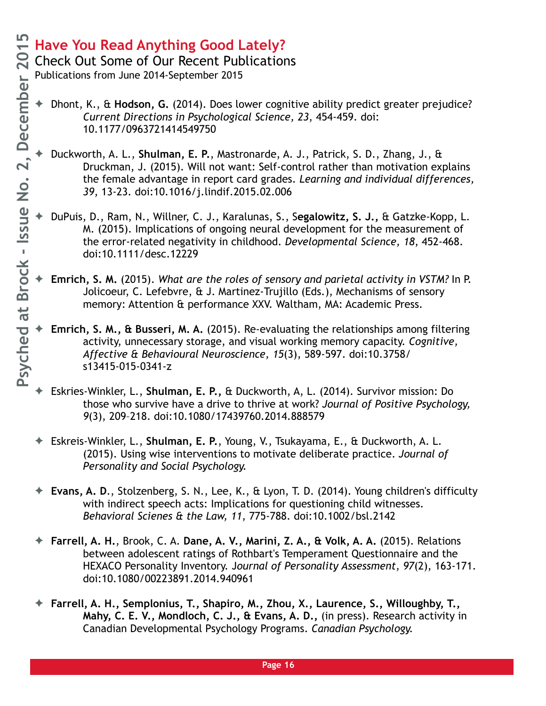Check Out Some of Our Recent Publications Publications from June 2014-September 2015

- ✦ Dhont, K., & **Hodson, G.** (2014). Does lower cognitive ability predict greater prejudice? *Current Directions in Psychological Science, 23*, 454-459. doi: 10.1177/0963721414549750
	- ✦ Duckworth, A. L., **Shulman, E. P.**, Mastronarde, A. J., Patrick, S. D., Zhang, J., & Druckman, J. (2015). Will not want: Self-control rather than motivation explains the female advantage in report card grades. *Learning and individual differences, 39*, 13-23. doi:10.1016/j.lindif.2015.02.006
	- ✦ DuPuis, D., Ram, N., Willner, C. J., Karalunas, S., S**egalowitz, S. J.,** & Gatzke-Kopp, L. M. (2015). Implications of ongoing neural development for the measurement of the error-related negativity in childhood. *Developmental Science, 18*, 452-468. doi:10.1111/desc.12229
	- ✦ **Emrich, S. M.** (2015). *What are the roles of sensory and parietal activity in VSTM?* In P. Jolicoeur, C. Lefebvre, & J. Martinez-Trujillo (Eds.), Mechanisms of sensory memory: Attention & performance XXV. Waltham, MA: Academic Press.
- ✦ **Emrich, S. M., & Busseri, M. A.** (2015). Re-evaluating the relationships among filtering activity, unnecessary storage, and visual working memory capacity. *Cognitive, Affective & Behavioural Neuroscience, 15*(3), 589-597. doi:10.3758/ s13415-015-0341-z
- ✦ Eskries-Winkler, L., **Shulman, E. P.,** & Duckworth, A, L. (2014). Survivor mission: Do those who survive have a drive to thrive at work? *Journal of Positive Psychology, 9*(3), 209–218. doi:10.1080/17439760.2014.888579
- ✦ Eskreis-Winkler, L., **Shulman, E. P.**, Young, V., Tsukayama, E., & Duckworth, A. L. (2015). Using wise interventions to motivate deliberate practice. *Journal of Personality and Social Psychology.*
- ✦ **Evans, A. D**., Stolzenberg, S. N., Lee, K., & Lyon, T. D. (2014). Young children's difficulty with indirect speech acts: Implications for questioning child witnesses. *Behavioral Scienes & the Law, 11*, 775-788. doi:10.1002/bsl.2142
- ✦ **Farrell, A. H.**, Brook, C. A. **Dane, A. V., Marini, Z. A., & Volk, A. A.** (2015). Relations between adolescent ratings of Rothbart's Temperament Questionnaire and the HEXACO Personality Inventory. J*ournal of Personality Assessment, 97*(2), 163-171. doi:10.1080/00223891.2014.940961
- ✦ **Farrell, A. H., Semplonius, T., Shapiro, M., Zhou, X., Laurence, S., Willoughby, T., Mahy, C. E. V., Mondloch, C. J., & Evans, A. D.,** (in press). Research activity in Canadian Developmental Psychology Programs. *Canadian Psychology.*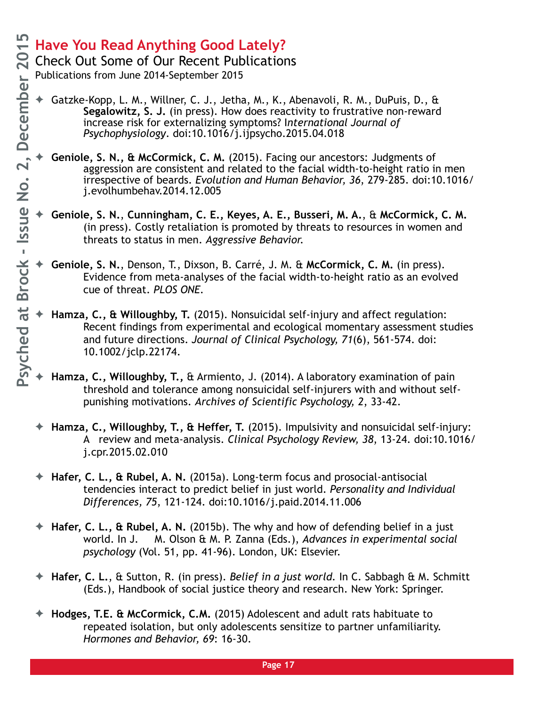Check Out Some of Our Recent Publications

- Gatzke-Kopp, L. M., Willner, C. J., Jetha, M., K., Abenavoli, R. M., DuPuis, D., & **Segalowitz, S. J.** (in press). How does reactivity to frustrative non-reward increase risk for externalizing symptoms? I*nternational Journal of Psychophysiology*. doi:10.1016/j.ijpsycho.2015.04.018
- ✦ **Geniole, S. N., & McCormick, C. M.** (2015). Facing our ancestors: Judgments of aggression are consistent and related to the facial width-to-height ratio in men irrespective of beards. *Evolution and Human Behavior, 36*, 279-285. doi:10.1016/ j.evolhumbehav.2014.12.005
- ✦ **Geniole, S. N.**, **Cunningham, C. E., Keyes, A. E., Busseri, M. A.**, & **McCormick, C. M.**  (in press). Costly retaliation is promoted by threats to resources in women and threats to status in men. *Aggressive Behavior.*
- ✦ **Geniole, S. N.**, Denson, T., Dixson, B. Carré, J. M. & **McCormick, C. M.** (in press). Evidence from meta-analyses of the facial width-to-height ratio as an evolved cue of threat. *PLOS ONE.*
- ✦ **Hamza, C., & Willoughby, T.** (2015). Nonsuicidal self-injury and affect regulation: Recent findings from experimental and ecological momentary assessment studies and future directions. *Journal of Clinical Psychology, 71*(6), 561-574. doi: 10.1002/jclp.22174.
- Hamza, C., Willoughby, T., & Armiento, J. (2014). A laboratory examination of pain threshold and tolerance among nonsuicidal self-injurers with and without selfpunishing motivations. *Archives of Scientific Psychology, 2*, 33-42.
- ✦ **Hamza, C., Willoughby, T., & Heffer, T.** (2015). Impulsivity and nonsuicidal self-injury: A review and meta-analysis. *Clinical Psychology Review, 38*, 13-24. doi:10.1016/ j.cpr.2015.02.010
- ✦ **Hafer, C. L., & Rubel, A. N.** (2015a). Long-term focus and prosocial-antisocial tendencies interact to predict belief in just world. *Personality and Individual Differences, 75*, 121-124. doi:10.1016/j.paid.2014.11.006
- ✦ **Hafer, C. L., & Rubel, A. N.** (2015b). The why and how of defending belief in a just world. In J. M. Olson & M. P. Zanna (Eds.), *Advances in experimental social psychology* (Vol. 51, pp. 41-96). London, UK: Elsevier.
- ✦ **Hafer, C. L.**, & Sutton, R. (in press). *Belief in a just world.* In C. Sabbagh & M. Schmitt (Eds.), Handbook of social justice theory and research. New York: Springer.
- ✦ **Hodges, T.E. & McCormick, C.M.** (2015) Adolescent and adult rats habituate to repeated isolation, but only adolescents sensitize to partner unfamiliarity. *Hormones and Behavior, 69*: 16-30.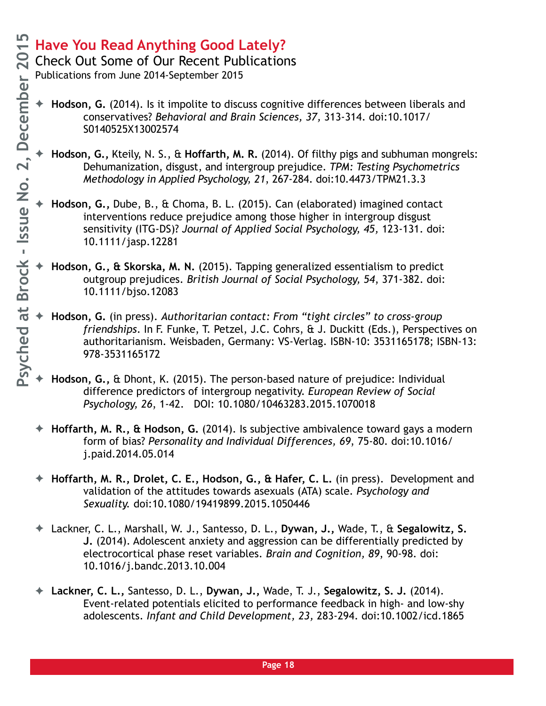Check Out Some of Our Recent Publications

- ✦ **Hodson, G.** (2014). Is it impolite to discuss cognitive differences between liberals and conservatives? *Behavioral and Brain Sciences, 37,* 313-314. doi:10.1017/ S0140525X13002574
	- ✦ **Hodson, G.,** Kteily, N. S., & **Hoffarth, M. R.** (2014). Of filthy pigs and subhuman mongrels: Dehumanization, disgust, and intergroup prejudice. *TPM: Testing Psychometrics Methodology in Applied Psychology, 21*, 267-284. doi:10.4473/TPM21.3.3
- ✦ **Hodson, G.,** Dube, B., & Choma, B. L. (2015). Can (elaborated) imagined contact interventions reduce prejudice among those higher in intergroup disgust sensitivity (ITG-DS)? *Journal of Applied Social Psychology, 45,* 123-131. doi: 10.1111/jasp.12281
- ✦ **Hodson, G., & Skorska, M. N.** (2015). Tapping generalized essentialism to predict outgroup prejudices. *British Journal of Social Psychology, 54*, 371-382. doi: 10.1111/bjso.12083
- ✦ **Hodson, G.** (in press). *Authoritarian contact: From "tight circles" to cross-group friendships*. In F. Funke, T. Petzel, J.C. Cohrs, & J. Duckitt (Eds.), Perspectives on authoritarianism. Weisbaden, Germany: VS-Verlag. ISBN-10: 3531165178; ISBN-13: 978-3531165172
- ✦ **Hodson, G.,** & Dhont, K. (2015). The person-based nature of prejudice: Individual difference predictors of intergroup negativity. *European Review of Social Psychology, 26*, 1-42. DOI: 10.1080/10463283.2015.1070018
- ✦ **Hoffarth, M. R., & Hodson, G.** (2014). Is subjective ambivalence toward gays a modern form of bias? *Personality and Individual Differences, 69*, 75-80. doi:10.1016/ j.paid.2014.05.014
- ✦ **Hoffarth, M. R., Drolet, C. E., Hodson, G., & Hafer, C. L.** (in press). Development and validation of the attitudes towards asexuals (ATA) scale. *Psychology and Sexuality.* doi:10.1080/19419899.2015.1050446
- ✦ Lackner, C. L., Marshall, W. J., Santesso, D. L., **Dywan, J.,** Wade, T., & **Segalowitz, S. J.** (2014). Adolescent anxiety and aggression can be differentially predicted by electrocortical phase reset variables. *Brain and Cognition, 89*, 90-98. doi: 10.1016/j.bandc.2013.10.004
- ✦ **Lackner, C. L.,** Santesso, D. L., **Dywan, J.,** Wade, T. J., **Segalowitz, S. J.** (2014). Event-related potentials elicited to performance feedback in high- and low-shy adolescents. *Infant and Child Development, 23,* 283-294. doi:10.1002/icd.1865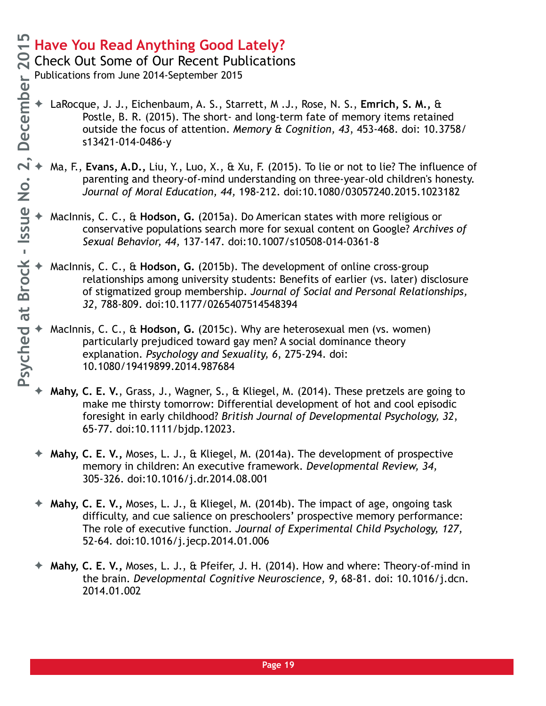Check Out Some of Our Recent Publications

- LaRocque, J. J., Eichenbaum, A. S., Starrett, M.J., Rose, N. S., **Emrich, S. M., &** Postle, B. R. (2015). The short- and long-term fate of memory items retained outside the focus of attention. *Memory & Cognition, 43*, 453-468. doi: 10.3758/ s13421-014-0486-y
- ✦ Ma, F., **Evans, A.D.,** Liu, Y., Luo, X., & Xu, F. (2015). To lie or not to lie? The influence of parenting and theory-of-mind understanding on three-year-old children's honesty. *Journal of Moral Education, 44,* 198-212. doi:10.1080/03057240.2015.1023182
- ✦ MacInnis, C. C., & **Hodson, G.** (2015a). Do American states with more religious or conservative populations search more for sexual content on Google? *Archives of Sexual Behavior, 44,* 137-147. doi:10.1007/s10508-014-0361-8
- ✦ MacInnis, C. C., & **Hodson, G.** (2015b). The development of online cross-group relationships among university students: Benefits of earlier (vs. later) disclosure of stigmatized group membership. *Journal of Social and Personal Relationships, 32*, 788-809. doi:10.1177/0265407514548394
- ✦ MacInnis, C. C., & **Hodson, G.** (2015c). Why are heterosexual men (vs. women) particularly prejudiced toward gay men? A social dominance theory explanation. *Psychology and Sexuality, 6*, 275-294. doi: 10.1080/19419899.2014.987684
- ✦ **Mahy, C. E. V.**, Grass, J., Wagner, S., & Kliegel, M. (2014). These pretzels are going to make me thirsty tomorrow: Differential development of hot and cool episodic foresight in early childhood? *British Journal of Developmental Psychology, 32*, 65-77. doi:10.1111/bjdp.12023.
- ✦ **Mahy, C. E. V.,** Moses, L. J., & Kliegel, M. (2014a). The development of prospective memory in children: An executive framework. *Developmental Review, 34,*  305-326. doi:10.1016/j.dr.2014.08.001
- ✦ **Mahy, C. E. V.,** Moses, L. J., & Kliegel, M. (2014b). The impact of age, ongoing task difficulty, and cue salience on preschoolers' prospective memory performance: The role of executive function. *Journal of Experimental Child Psychology, 127,* 52-64. doi:10.1016/j.jecp.2014.01.006
- ✦ **Mahy, C. E. V.,** Moses, L. J., & Pfeifer, J. H. (2014). How and where: Theory-of-mind in the brain. *Developmental Cognitive Neuroscience, 9,* 68-81. doi: 10.1016/j.dcn. 2014.01.002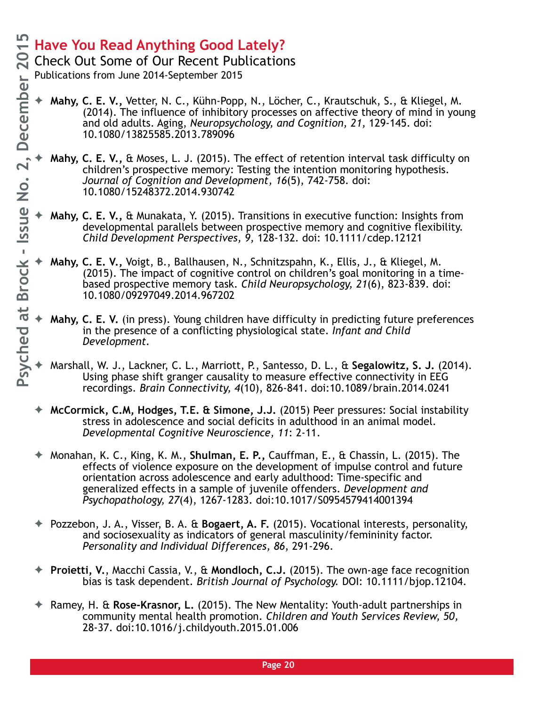Check Out Some of Our Recent Publications

- ✦ **Mahy, C. E. V.,** Vetter, N. C., Kühn-Popp, N., Löcher, C., Krautschuk, S., & Kliegel, M. (2014). The influence of inhibitory processes on affective theory of mind in young and old adults. Aging, *Neuropsychology, and Cognition, 21,* 129-145. doi: 10.1080/13825585.2013.789096
- ✦ **Mahy, C. E. V.,** & Moses, L. J. (2015). The effect of retention interval task difficulty on children's prospective memory: Testing the intention monitoring hypothesis. *Journal of Cognition and Development, 16*(5), 742-758. doi: 10.1080/15248372.2014.930742
- ✦ **Mahy, C. E. V.,** & Munakata, Y. (2015). Transitions in executive function: Insights from developmental parallels between prospective memory and cognitive flexibility. *Child Development Perspectives, 9,* 128-132. doi: 10.1111/cdep.12121
- ✦ **Mahy, C. E. V.,** Voigt, B., Ballhausen, N., Schnitzspahn, K., Ellis, J., & Kliegel, M. (2015). The impact of cognitive control on children's goal monitoring in a timebased prospective memory task. *Child Neuropsychology, 21*(6), 823-839. doi: 10.1080/09297049.2014.967202
- ✦ **Mahy, C. E. V.** (in press). Young children have difficulty in predicting future preferences in the presence of a conflicting physiological state. *Infant and Child Development.*
- ✦ Marshall, W. J., Lackner, C. L., Marriott, P., Santesso, D. L., & **Segalowitz, S. J.** (2014). Using phase shift granger causality to measure effective connectivity in EEG recordings. *Brain Connectivity, 4*(10), 826-841. doi:10.1089/brain.2014.0241
- ✦ **McCormick, C.M, Hodges, T.E. & Simone, J.J.** (2015) Peer pressures: Social instability stress in adolescence and social deficits in adulthood in an animal model. *Developmental Cognitive Neuroscience, 11*: 2-11.
- ✦ Monahan, K. C., King, K. M., **Shulman, E. P.,** Cauffman, E., & Chassin, L. (2015). The effects of violence exposure on the development of impulse control and future orientation across adolescence and early adulthood: Time-specific and generalized effects in a sample of juvenile offenders. *Development and Psychopathology, 27*(4), 1267-1283. doi:10.1017/S0954579414001394
- ✦ Pozzebon, J. A., Visser, B. A. & **Bogaert, A. F.** (2015). Vocational interests, personality, and sociosexuality as indicators of general masculinity/femininity factor. *Personality and Individual Differences, 86*, 291-296.
- ✦ **Proietti, V.**, Macchi Cassia, V., & **Mondloch, C.J.** (2015). The own-age face recognition bias is task dependent. *British Journal of Psychology.* DOI: 10.1111/bjop.12104.
- ✦ Ramey, H. & **Rose-Krasnor, L.** (2015). The New Mentality: Youth-adult partnerships in community mental health promotion. *Children and Youth Services Review, 50,*  28-37. doi:10.1016/j.childyouth.2015.01.006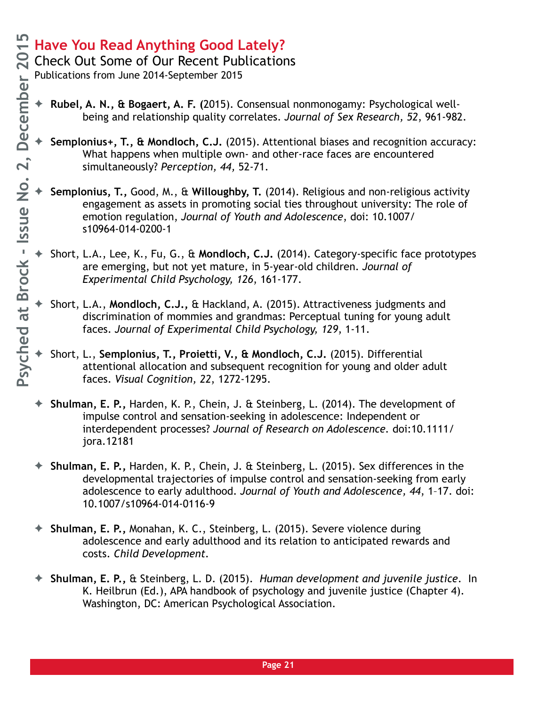Check Out Some of Our Recent Publications

- ✦ **Rubel, A. N., & Bogaert, A. F. (**2015). Consensual nonmonogamy: Psychological wellbeing and relationship quality correlates. *Journal of Sex Research, 52*, 961-982.
- ✦ **Semplonius+, T., & Mondloch, C.J.** (2015). Attentional biases and recognition accuracy: What happens when multiple own- and other-race faces are encountered simultaneously? *Perception, 44,* 52-71.
- ✦ **Semplonius, T.,** Good, M., & **Willoughby, T.** (2014). Religious and non-religious activity engagement as assets in promoting social ties throughout university: The role of emotion regulation, *Journal of Youth and Adolescence*, doi: 10.1007/ s10964-014-0200-1
- ✦ Short, L.A., Lee, K., Fu, G., & **Mondloch, C.J.** (2014). Category-specific face prototypes are emerging, but not yet mature, in 5-year-old children. *Journal of Experimental Child Psychology, 126*, 161-177.
- ✦ Short, L.A., **Mondloch, C.J.,** & Hackland, A. (2015). Attractiveness judgments and discrimination of mommies and grandmas: Perceptual tuning for young adult faces. *Journal of Experimental Child Psychology, 129*, 1-11.
- ✦ Short, L., **Semplonius, T., Proietti, V., & Mondloch, C.J.** (2015). Differential attentional allocation and subsequent recognition for young and older adult faces. *Visual Cognition, 22*, 1272-1295.
- ✦ **Shulman, E. P.,** Harden, K. P., Chein, J. & Steinberg, L. (2014). The development of impulse control and sensation-seeking in adolescence: Independent or interdependent processes? *Journal of Research on Adolescence.* doi:10.1111/ jora.12181
- ✦ **Shulman, E. P.,** Harden, K. P., Chein, J. & Steinberg, L. (2015). Sex differences in the developmental trajectories of impulse control and sensation-seeking from early adolescence to early adulthood. *Journal of Youth and Adolescence, 44*, 1–17. doi: 10.1007/s10964-014-0116-9
- ✦ **Shulman, E. P.,** Monahan, K. C., Steinberg, L. (2015). Severe violence during adolescence and early adulthood and its relation to anticipated rewards and costs. *Child Development.*
- ✦ **Shulman, E. P.,** & Steinberg, L. D. (2015). *Human development and juvenile justice*. In K. Heilbrun (Ed.), APA handbook of psychology and juvenile justice (Chapter 4). Washington, DC: American Psychological Association.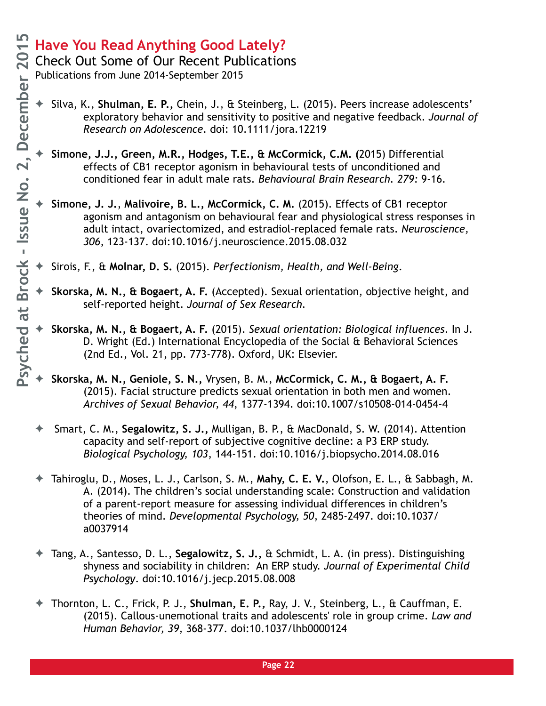Check Out Some of Our Recent Publications

- ✦ Silva, K., **Shulman, E. P.,** Chein, J., & Steinberg, L. (2015). Peers increase adolescents' exploratory behavior and sensitivity to positive and negative feedback. *Journal of Research on Adolescence*. doi: 10.1111/jora.12219
	- ✦ **Simone, J.J., Green, M.R., Hodges, T.E., & McCormick, C.M. (**2015) Differential effects of CB1 receptor agonism in behavioural tests of unconditioned and conditioned fear in adult male rats. *Behavioural Brain Research. 279:* 9-16.
- ✦ **Simone, J. J.**, **Malivoire, B. L., McCormick, C. M.** (2015). Effects of CB1 receptor agonism and antagonism on behavioural fear and physiological stress responses in adult intact, ovariectomized, and estradiol-replaced female rats. *Neuroscience, 306*, 123-137. doi:10.1016/j.neuroscience.2015.08.032
- ✦ Sirois, F., & **Molnar, D. S.** (2015). *Perfectionism, Health, and Well-Being*.
- ✦ **Skorska, M. N., & Bogaert, A. F.** (Accepted). Sexual orientation, objective height, and self-reported height. *Journal of Sex Research.*
- ✦ **Skorska, M. N., & Bogaert, A. F.** (2015). *Sexual orientation: Biological influences*. In J. D. Wright (Ed.) International Encyclopedia of the Social & Behavioral Sciences (2nd Ed., Vol. 21, pp. 773-778). Oxford, UK: Elsevier.
- ✦ **Skorska, M. N., Geniole, S. N.,** Vrysen, B. M., **McCormick, C. M., & Bogaert, A. F.**  (2015). Facial structure predicts sexual orientation in both men and women. *Archives of Sexual Behavior, 44*, 1377-1394. doi:10.1007/s10508-014-0454-4
- ✦ Smart, C. M., **Segalowitz, S. J.,** Mulligan, B. P., & MacDonald, S. W. (2014). Attention capacity and self-report of subjective cognitive decline: a P3 ERP study. *Biological Psychology, 103*, 144-151. doi:10.1016/j.biopsycho.2014.08.016
- ✦ Tahiroglu, D., Moses, L. J., Carlson, S. M., **Mahy, C. E. V.**, Olofson, E. L., & Sabbagh, M. A. (2014). The children's social understanding scale: Construction and validation of a parent-report measure for assessing individual differences in children's theories of mind. *Developmental Psychology, 50*, 2485-2497. doi:10.1037/ a0037914
- ✦ Tang, A., Santesso, D. L., **Segalowitz, S. J.,** & Schmidt, L. A. (in press). Distinguishing shyness and sociability in children: An ERP study. *Journal of Experimental Child Psychology*. doi:10.1016/j.jecp.2015.08.008
- ✦ Thornton, L. C., Frick, P. J., **Shulman, E. P.,** Ray, J. V., Steinberg, L., & Cauffman, E. (2015). Callous-unemotional traits and adolescents' role in group crime. *Law and Human Behavior, 39*, 368-377. doi:10.1037/lhb0000124